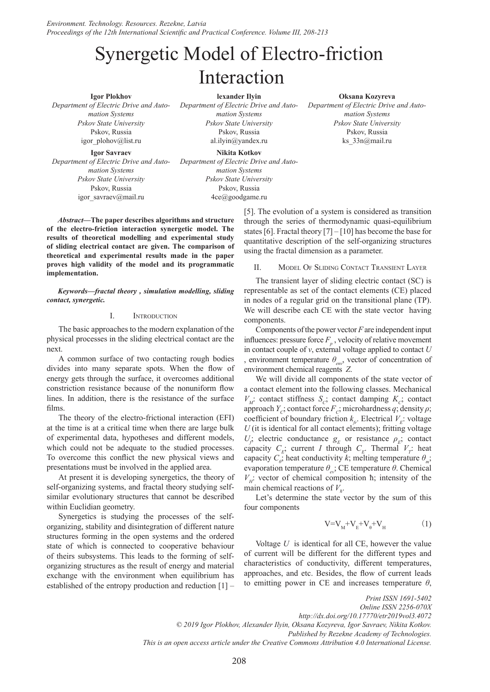# Synergetic Model of Electro-friction Interaction

**Igor Plokhov** *Department of Electric Drive and Automation Systems Pskov State University* Pskov, Russia igor\_plohov@list.ru

**Igor Savraev** *Department of Electric Drive and Automation Systems Pskov State University* Pskov, Russia igor\_savraev@mail.ru

**lexander Ilyin** *Department of Electric Drive and Automation Systems Pskov State University* Pskov, Russia al.ilyin@yandex.ru

**Nikita Kotkov** *Department of Electric Drive and Automation Systems Pskov State University* Pskov, Russia 4ce@goodgame.ru

*Abstract***—The paper describes algorithms and structure of the electro-friction interaction synergetic model. The results of theoretical modelling and experimental study of sliding electrical contact are given. The comparison of theoretical and experimental results made in the paper proves high validity of the model and its programmatic implementation.**

*Keywords—fractal theory , simulation modelling, sliding contact, synergetic.*

### I. Introduction

The basic approaches to the modern explanation of the physical processes in the sliding electrical contact are the next.

A common surface of two contacting rough bodies divides into many separate spots. When the flow of energy gets through the surface, it overcomes additional constriction resistance because of the nonuniform flow lines. In addition, there is the resistance of the surface films.

The theory of the electro-frictional interaction (EFI) at the time is at a critical time when there are large bulk of experimental data, hypotheses and different models, which could not be adequate to the studied processes. To overcome this conflict the new physical views and presentations must be involved in the applied area.

At present it is developing synergetics, the theory of self-organizing systems, and fractal theory studying selfsimilar evolutionary structures that cannot be described within Euclidian geometry.

Synergetics is studying the processes of the selforganizing, stability and disintegration of different nature structures forming in the open systems and the ordered state of which is connected to cooperative behaviour of theirs subsystems. This leads to the forming of selforganizing structures as the result of energy and material exchange with the environment when equilibrium has established of the entropy production and reduction [1] – **Oksana Kozyreva**

*Department of Electric Drive and Automation Systems Pskov State University* Pskov, Russia ks\_33n@mail.ru

[5]. The evolution of a system is considered as transition through the series of thermodynamic quasi-equilibrium states [6]. Fractal theory  $[7] - [10]$  has become the base for quantitative description of the self-organizing structures using the fractal dimension as a parameter.

II. Model Of Sliding Contact Transient Layer

The transient layer of sliding electric contact (SC) is representable as set of the contact elements (CE) placed in nodes of a regular grid on the transitional plane (TP). We will describe each CE with the state vector having components.

Components of the power vector *F* are independent input influences: pressure force  $F_p$ , velocity of relative movement in contact couple of *v*, external voltage applied to contact *U* , environment temperature *θenv*, vector of concentration of environment chemical reagents *Z*.

We will divide all components of the state vector of a contact element into the following classes. Mechanical  $V_M$ : contact stiffness  $S_C$ ; contact damping  $K_C$ ; contact approach *Y<sub>C</sub>*; contact force  $F_c$ ; microhardness *q*; density *ρ*; coefficient of boundary friction  $k<sub>f</sub>$ . Electrical  $V<sub>F</sub>$ : voltage *U* (it is identical for all contact elements); fritting voltage  $U_f$  electric conductance  $g_E$  or resistance  $\rho_E$ ; contact capacity  $C_E$ ; current *I* through  $C_E$ . Thermal  $V_T$ : heat capacity  $C_{\theta}$ ; heat conductivity *k*; melting temperature  $\theta_m$ ; evaporation temperature  $θ_{e\theta}$ ; CE temperature  $θ$ . Chemical  $V_H$ : vector of chemical composition  $\hbar$ ; intensity of the main chemical reactions of  $V_h$ .

Let's determine the state vector by the sum of this four components

$$
V = V_{\rm M} + V_{\rm E} + V_{\theta} + V_{\rm H}
$$
 (1)

Voltage *U* is identical for all CE, however the value of current will be different for the different types and characteristics of conductivity, different temperatures, approaches, and etc. Besides, the flow of current leads to emitting power in CE and increases temperature  $\theta$ ,

*Print ISSN 1691-5402 Online ISSN 2256-070X http://dx.doi.org/10.17770/etr2019vol3.4072 © 2019 Igor Plokhov, Alexander Ilyin, Oksana Kozyreva, Igor Savraev, Nikita Kotkov. Published by Rezekne Academy of Technologies. This is an open access article under the Creative Commons Attribution 4.0 International License.*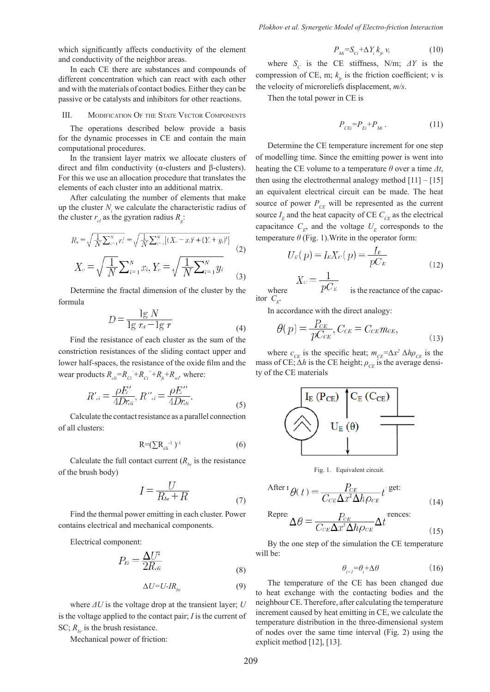which significantly affects conductivity of the element and conductivity of the neighbor areas.

In each CE there are substances and compounds of different concentration which can react with each other and with the materials of contact bodies. Either they can be passive or be catalysts and inhibitors for other reactions.

## III. MODIFICATION OF THE STATE VECTOR COMPONENTS

The operations described below provide a basis for the dynamic processes in CE and contain the main computational procedures.

In the transient layer matrix we allocate clusters of direct and film conductivity (α-clusters and β-clusters). For this we use an allocation procedure that translates the elements of each cluster into an additional matrix.

After calculating the number of elements that make up the cluster  $N_i$  we calculate the characteristic radius of the cluster  $r_{cl}$  as the gyration radius  $R_g$ :

$$
R_s = \sqrt{\frac{1}{N} \sum_{i=1}^{N} r_i^2} = \sqrt{\frac{1}{N} \sum_{i=1}^{N} [(X_c - x_i)^2 + (Y_c + y_i)^2]}
$$
(2)  

$$
X_c = \sqrt{\frac{1}{N} \sum_{i=1}^{N} x_i}, Y_c = \sqrt{\frac{1}{N} \sum_{i=1}^{N} y_i}
$$
(3)

Determine the fractal dimension of the cluster by the formula

$$
D = \frac{\lg N}{\lg r_d - \lg r} \tag{4}
$$

Find the resistance of each cluster as the sum of the constriction resistances of the sliding contact upper and lower half-spaces, the resistance of the oxide film and the wear products  $R_{\text{cl}} = R_{\text{Cl}} + R_{\text{Cl}} + R_{\text{fl}} + R_{\text{w}i}$ , where:

$$
R'_{\alpha} = \frac{\rho E'}{4Dr_{\alpha i}}, R''_{\alpha} = \frac{\rho E''}{4Dr_{\alpha i}}.
$$
\n(5)

Calculate the contact resistance as a parallel connection of all clusters:

$$
R = (\sum R_{\text{cli}}^{-1})^{-1} \tag{6}
$$

Calculate the full contact current  $(R_h$  is the resistance of the brush body)

$$
I = \frac{U}{R_{br} + R} \tag{7}
$$

Find the thermal power emitting in each cluster. Power contains electrical and mechanical components.

Electrical component:

$$
P_{\scriptscriptstyle Ei} = \frac{\Delta U^2}{2R_{\scriptscriptstyle \rm eff}}\tag{8}
$$

$$
\Delta U = U - IR_{br} \tag{9}
$$

where *ΔU* is the voltage drop at the transient layer; *U* is the voltage applied to the contact pair; *I* is the current of SC;  $R_{bc}$  is the brush resistance.

Mechanical power of friction:

$$
P_{\scriptscriptstyle M} = S_{\scriptscriptstyle C_i} + \Delta Y_i \, k_{\scriptscriptstyle f}, \, \nu, \tag{10}
$$

where  $S_c$  is the CE stiffness, N/m;  $\Delta Y$  is the compression of CE, m;  $k<sub>f</sub>$  is the friction coefficient; v is the velocity of microreliefs displacement, *m/s*.

Then the total power in CE is

$$
P_{CEi} = P_{Ei} + P_{Mi} \tag{11}
$$

Determine the CE temperature increment for one step of modelling time. Since the emitting power is went into heating the CE volume to a temperature *θ* over a time *Δt*, then using the electrothermal analogy method  $[11] - [15]$ an equivalent electrical circuit can be made. The heat source of power  $P_{CE}$  will be represented as the current source  $I<sub>E</sub>$  and the heat capacity of CE  $C<sub>CE</sub>$  as the electrical capacitance  $C_F$ , and the voltage  $U_F$  corresponds to the temperature  $\theta$  (Fig. 1). Write in the operator form:

$$
U_E(p) = I_E X_C(p) = \frac{I_E}{pC_E}
$$
\n<sup>(12)</sup>

where  $\int_{C_F}^{C_F}$  is the reactance of the capac-

In accordance with the direct analogy:

$$
\theta(p) = \frac{P_{CE}}{pC_{CE}}, C_{CE} = C_{CE} m_{CE}, \tag{13}
$$

where  $c_{CE}$  is the specific heat;  $m_{CE} = \Delta x^2 \Delta h \rho_{CE}$  is the mass of CE;  $\Delta h$  is the CE height;  $\rho_{CF}$  is the average density of the CE materials



Fig. 1. Equivalent circuit.

After 
$$
I \theta(t) = \frac{P_{CE}}{C_{CE} \Delta x^2 \Delta h \rho_{CE}} t^{\text{lgit}}
$$
 (14)

$$
\text{Repre:}\Delta\theta = \frac{P_{CE}}{C_{CE}\Delta x^2 \Delta h \rho_{CE}} \Delta t^{\text{:reaces:}}\tag{15}
$$

By the one step of the simulation the CE temperature will be:

$$
\theta_{i+1} = \theta_i + \Delta\theta \tag{16}
$$

The temperature of the CE has been changed due to heat exchange with the contacting bodies and the neighbour CE. Therefore, after calculating the temperature increment caused by heat emitting in CE, we calculate the temperature distribution in the three-dimensional system of nodes over the same time interval (Fig. 2) using the explicit method [12], [13].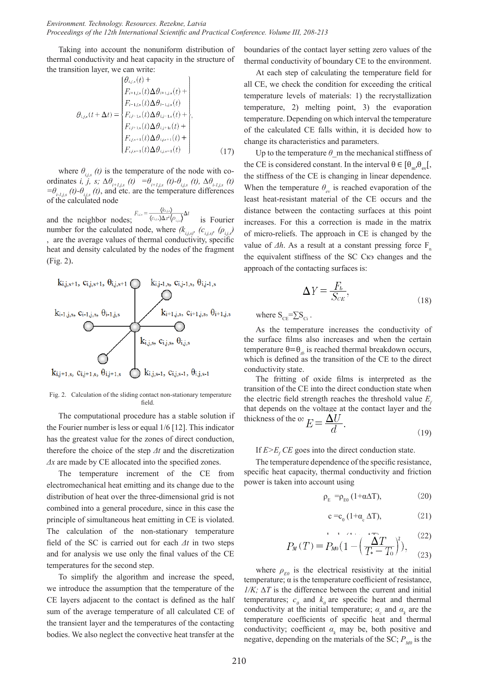Taking into account the nonuniform distribution of thermal conductivity and heat capacity in the structure of the transition layer, we can write:

$$
\theta_{i,j,s}(t + \Delta t) = \begin{cases}\n\theta_{i,j,s}(t) + \\
F_{i+1,j,s}(t) \Delta \theta_{i+1,j,s}(t) + \\
F_{i-1,j,s}(t) \Delta \theta_{i-1,j,s}(t) + \\
F_{i,j-1,s}(t) \Delta \theta_{i,j-1,s}(t) + \\
F_{i,j+1,s}(t) \Delta \theta_{i,j+1,s}(t) + \\
F_{i,j,s+1}(t) \Delta \theta_{i,j,s+1}(t) + \\
F_{i,j,s-1}(t) \Delta \theta_{i,j,s-1}(t)\n\end{cases}
$$
\n(17)

where  $\theta_{i,j,s}$  (t) is the temperature of the node with coordinates *i*,  $\ddot{j}$ , *s*;  $\Delta \theta_{i+1,j,s}$  (*t*) =  $\theta_{i+1,j,s}$  (*t*)  $\theta_{i,j,s}$  (*t*),  $\Delta \theta_{i-1,j,s}$  (*t*)  $=\theta$ <sup>*i*-*Hi*,*s*</sub>*(t)*- $\theta$ <sup>*i*</sup>*i,s*<sup>*(t)*</sup>, and etc. are the temperature differences</sup> of the calculated node

and the neighbor nodes;  $F_{i,s} = \frac{\langle k_{i,s} \rangle}{\langle c_{i,s} \rangle \Delta x^2 \langle \rho_{i,s} \rangle} \Delta t$  is Fourier number for the calculated node, where  $(k_{i,j,s})$ <sup>*, (c<sub>i,j,s)</sub>, (p<sub>i,j</sub>*</sup> , are the average values of thermal conductivity, specific heat and density calculated by the nodes of the fragment (Fig. 2).



Fig. 2. Calculation of the sliding contact non-stationary temperature field.

The computational procedure has a stable solution if the Fourier number is less or equal 1/6 [12]. This indicator has the greatest value for the zones of direct conduction, therefore the choice of the step *Δt* and the discretization *Δx* are made by CE allocated into the specified zones.

The temperature increment of the CE from electromechanical heat emitting and its change due to the distribution of heat over the three-dimensional grid is not combined into a general procedure, since in this case the principle of simultaneous heat emitting in CE is violated. The calculation of the non-stationary temperature field of the SC is carried out for each *Δt* in two steps and for analysis we use only the final values of the CE temperatures for the second step.

To simplify the algorithm and increase the speed, we introduce the assumption that the temperature of the CE layers adjacent to the contact is defined as the half sum of the average temperature of all calculated CE of the transient layer and the temperatures of the contacting bodies. We also neglect the convective heat transfer at the boundaries of the contact layer setting zero values of the thermal conductivity of boundary CE to the environment.

At each step of calculating the temperature field for all CE, we check the condition for exceeding the critical temperature levels of materials: 1) the recrystallization temperature, 2) melting point, 3) the evaporation temperature. Depending on which interval the temperature of the calculated CE falls within, it is decided how to change its characteristics and parameters.

Up to the temperature  $\theta$  m the mechanical stiffness of the CE is considered constant. In the interval  $\theta \in [\theta_{m}, \theta_{m}].$ the stiffness of the CE is changing in linear dependence. When the temperature  $\theta_{\text{av}}$  is reached evaporation of the least heat-resistant material of the CE occurs and the distance between the contacting surfaces at this point increases. For this a correction is made in the matrix of micro-reliefs. The approach in CE is changed by the value of  $\Delta h$ . As a result at a constant pressing force F<sub>n</sub> the equivalent stiffness of the SC Скэ changes and the approach of the contacting surfaces is:

$$
\Delta Y = \frac{F_b}{S_{CE}},\tag{18}
$$

where  $S_{CF} = \sum S_{CF}$ .

As the temperature increases the conductivity of the surface films also increases and when the certain temperature  $\theta = \theta_{th}$  is reached thermal breakdown occurs, which is defined as the transition of the CE to the direct conductivity state.

The fritting of oxide films is interpreted as the transition of the CE into the direct conduction state when the electric field strength reaches the threshold value  $E<sub>c</sub>$ that depends on the voltage at the contact layer and the thickness of the  $\omega_E = \frac{\Delta U}{d}$ .

$$
(19)
$$

If  $E>E_f$  *CE* goes into the direct conduction state.

The temperature dependence of the specific resistance, specific heat capacity, thermal conductivity and friction power is taken into account using

$$
\rho_{\rm E} = \rho_{\rm E0} \left( 1 + \alpha \Delta T \right), \tag{20}
$$

$$
c = c_0 (1 + \alpha_c \Delta T), \tag{21}
$$

$$
P_M(T) = P_{M0} \left( 1 - \left( \frac{\Delta T}{T_* - T_0} \right)^2 \right), \quad (22)
$$

where  $\rho_{E0}$  is the electrical resistivity at the initial temperature;  $\alpha$  is the temperature coefficient of resistance, *1/K:*  $\Delta T$  is the difference between the current and initial temperatures;  $c_0$  and  $k_0$  are specific heat and thermal conductivity at the initial temperature;  $\alpha_c$  and  $\alpha_k$  are the temperature coefficients of specific heat and thermal conductivity; coefficient  $\alpha_k$  may be, both positive and negative, depending on the materials of the SC;  $P_{M0}$  is the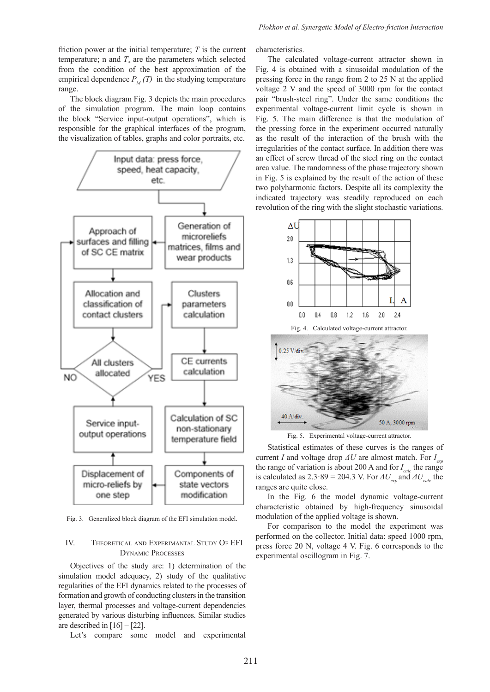friction power at the initial temperature; *T* is the current temperature; n and  $T_*$  are the parameters which selected from the condition of the best approximation of the empirical dependence  $P_M(T)$  in the studying temperature range.

The block diagram Fig. 3 depicts the main procedures of the simulation program. The main loop contains the block "Service input-output operations", which is responsible for the graphical interfaces of the program, the visualization of tables, graphs and color portraits, etc.



Fig. 3. Generalized block diagram of the EFI simulation model.

## IV. Theoretical and Experimantal Study Of EFI Dynamic Processes

Objectives of the study are: 1) determination of the simulation model adequacy, 2) study of the qualitative regularities of the EFI dynamics related to the processes of formation and growth of conducting clusters in the transition layer, thermal processes and voltage-current dependencies generated by various disturbing influences. Similar studies are described in  $[16] - [22]$ .

Let's compare some model and experimental

characteristics.

The calculated voltage-current attractor shown in Fig. 4 is obtained with a sinusoidal modulation of the pressing force in the range from 2 to 25 N at the applied voltage 2 V and the speed of 3000 rpm for the contact pair "brush-steel ring". Under the same conditions the experimental voltage-current limit cycle is shown in Fig. 5. The main difference is that the modulation of the pressing force in the experiment occurred naturally as the result of the interaction of the brush with the irregularities of the contact surface. In addition there was an effect of screw thread of the steel ring on the contact area value. The randomness of the phase trajectory shown in Fig. 5 is explained by the result of the action of these two polyharmonic factors. Despite all its complexity the indicated trajectory was steadily reproduced on each revolution of the ring with the slight stochastic variations.



Fig. 5. Experimental voltage-current attractor.

50 A, 3000 rpm

40 A/div

Statistical estimates of these curves is the ranges of current *I* and voltage drop *ΔU* are almost match. For *I exp* the range of variation is about 200 A and for  $I_{calc}$  the range is calculated as  $2.3 \cdot 89 = 204.3$  V. For  $\Delta U_{\text{grav}}$  and  $\Delta U_{\text{calc}}$  the ranges are quite close.

In the Fig. 6 the model dynamic voltage-current characteristic obtained by high-frequency sinusoidal modulation of the applied voltage is shown.

For comparison to the model the experiment was performed on the collector. Initial data: speed 1000 rpm, press force 20 N, voltage 4 V. Fig. 6 corresponds to the experimental oscillogram in Fig. 7.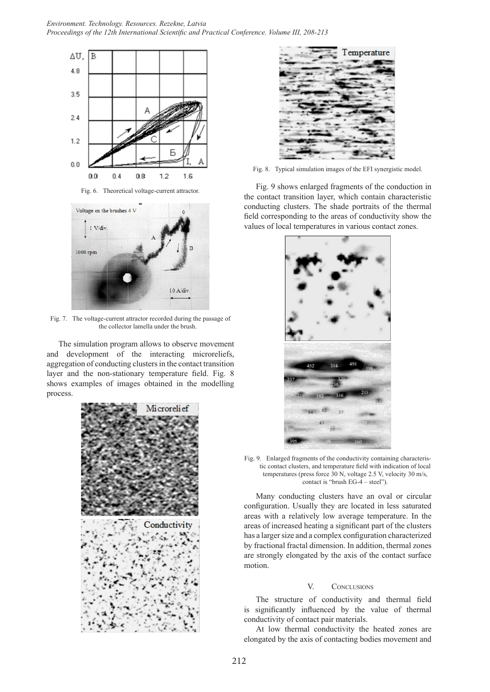

Fig. 6. Theoretical voltage-current attractor.



Fig. 7. The voltage-current attractor recorded during the passage of the collector lamella under the brush.

The simulation program allows to observe movement and development of the interacting microreliefs, aggregation of conducting clusters in the contact transition layer and the non-stationary temperature field. Fig. 8 shows examples of images obtained in the modelling process.





Fig. 8. Typical simulation images of the EFI synergistic model.

Fig. 9 shows enlarged fragments of the conduction in the contact transition layer, which contain characteristic conducting clusters. The shade portraits of the thermal field corresponding to the areas of conductivity show the values of local temperatures in various contact zones.



Fig. 9. Enlarged fragments of the conductivity containing characteristic contact clusters, and temperature field with indication of local temperatures (press force 30 N, voltage 2.5 V, velocity 30 m/s, contact is "brush EG-4 – steel").

Many conducting clusters have an oval or circular configuration. Usually they are located in less saturated areas with a relatively low average temperature. In the areas of increased heating a significant part of the clusters has a larger size and a complex configuration characterized by fractional fractal dimension. In addition, thermal zones are strongly elongated by the axis of the contact surface motion.

## V. CONCLUSIONS

The structure of conductivity and thermal field is significantly influenced by the value of thermal conductivity of contact pair materials.

At low thermal conductivity the heated zones are elongated by the axis of contacting bodies movement and